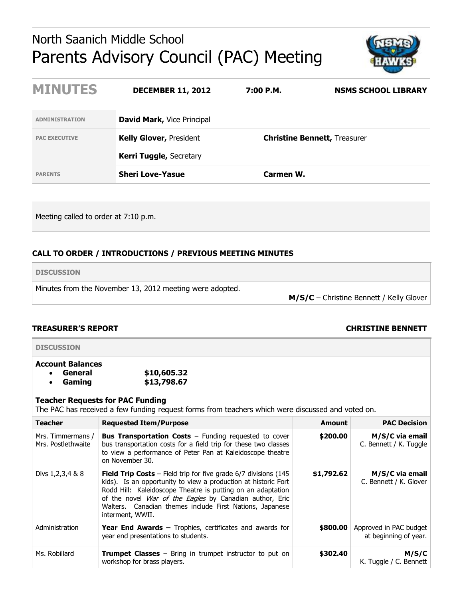# North Saanich Middle School Parents Advisory Council (PAC) Meeting



| <b>MINUTES</b>        | <b>DECEMBER 11, 2012</b>          | 7:00 P.M. | <b>NSMS SCHOOL LIBRARY</b>          |
|-----------------------|-----------------------------------|-----------|-------------------------------------|
| <b>ADMINISTRATION</b> | <b>David Mark, Vice Principal</b> |           |                                     |
| <b>PAC EXECUTIVE</b>  | <b>Kelly Glover, President</b>    |           | <b>Christine Bennett, Treasurer</b> |
|                       | <b>Kerri Tuggle, Secretary</b>    |           |                                     |
| <b>PARENTS</b>        | <b>Sheri Love-Yasue</b>           | Carmen W. |                                     |

Meeting called to order at 7:10 p.m.

# **CALL TO ORDER / INTRODUCTIONS / PREVIOUS MEETING MINUTES**

**DISCUSSION**

Minutes from the November 13, 2012 meeting were adopted.

**M/S/C** – Christine Bennett / Kelly Glover

# **TREASURER'S REPORT CHRISTINE BENNETT**

**DISCUSSION**

# **Account Balances General \$10,605.32**

**Gaming \$13,798.67**

# **Teacher Requests for PAC Funding**

The PAC has received a few funding request forms from teachers which were discussed and voted on.

| <b>Teacher</b>                          | <b>Requested Item/Purpose</b>                                                                                                                                                                                                                                                                                                                               | <b>Amount</b> | <b>PAC Decision</b>                             |
|-----------------------------------------|-------------------------------------------------------------------------------------------------------------------------------------------------------------------------------------------------------------------------------------------------------------------------------------------------------------------------------------------------------------|---------------|-------------------------------------------------|
| Mrs. Timmermans /<br>Mrs. Postlethwaite | <b>Bus Transportation Costs</b> $-$ Funding requested to cover<br>bus transportation costs for a field trip for these two classes<br>to view a performance of Peter Pan at Kaleidoscope theatre<br>on November 30.                                                                                                                                          | \$200.00      | M/S/C via email<br>C. Bennett / K. Tuggle       |
| Divs 1, 2, 3, 4 & 8                     | <b>Field Trip Costs</b> – Field trip for five grade $6/7$ divisions (145<br>kids). Is an opportunity to view a production at historic Fort<br>Rodd Hill: Kaleidoscope Theatre is putting on an adaptation<br>of the novel <i>War of the Eagles</i> by Canadian author, Eric<br>Walters. Canadian themes include First Nations, Japanese<br>interment, WWII. | \$1,792.62    | M/S/C via email<br>C. Bennett / K. Glover       |
| Administration                          | <b>Year End Awards - Trophies, certificates and awards for</b><br>year end presentations to students.                                                                                                                                                                                                                                                       | \$800.00      | Approved in PAC budget<br>at beginning of year. |
| Ms. Robillard                           | <b>Trumpet Classes</b> $-$ Bring in trumpet instructor to put on<br>workshop for brass players.                                                                                                                                                                                                                                                             | \$302.40      | M/S/C<br>K. Tuggle / C. Bennett                 |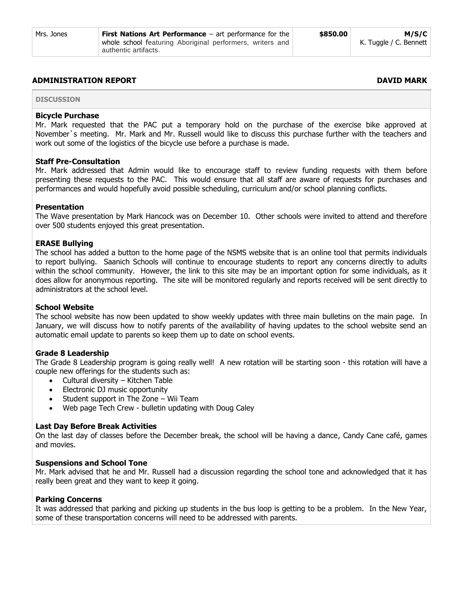#### **ADMINISTRATION REPORT DAVID MARK**

**DISCUSSION**

### **Bicycle Purchase**

Mr. Mark requested that the PAC put a temporary hold on the purchase of the exercise bike approved at November`s meeting. Mr. Mark and Mr. Russell would like to discuss this purchase further with the teachers and work out some of the logistics of the bicycle use before a purchase is made.

#### **Staff Pre-Consultation**

Mr. Mark addressed that Admin would like to encourage staff to review funding requests with them before presenting these requests to the PAC. This would ensure that all staff are aware of requests for purchases and performances and would hopefully avoid possible scheduling, curriculum and/or school planning conflicts.

#### **Presentation**

The Wave presentation by Mark Hancock was on December 10. Other schools were invited to attend and therefore over 500 students enjoyed this great presentation.

#### **ERASE Bullying**

The school has added a button to the home page of the NSMS website that is an online tool that permits individuals to report bullying. Saanich Schools will continue to encourage students to report any concerns directly to adults within the school community. However, the link to this site may be an important option for some individuals, as it does allow for anonymous reporting. The site will be monitored regularly and reports received will be sent directly to administrators at the school level.

### **School Website**

The school website has now been updated to show weekly updates with three main bulletins on the main page. In January, we will discuss how to notify parents of the availability of having updates to the school website send an automatic email update to parents so keep them up to date on school events.

#### **Grade 8 Leadership**

The Grade 8 Leadership program is going really well! A new rotation will be starting soon - this rotation will have a couple new offerings for the students such as:

- Cultural diversity Kitchen Table
- Electronic DJ music opportunity
- Student support in The Zone Wii Team
- Web page Tech Crew bulletin updating with Doug Caley

#### **Last Day Before Break Activities**

On the last day of classes before the December break, the school will be having a dance, Candy Cane café, games and movies.

#### **Suspensions and School Tone**

Mr. Mark advised that he and Mr. Russell had a discussion regarding the school tone and acknowledged that it has really been great and they want to keep it going.

#### **Parking Concerns**

It was addressed that parking and picking up students in the bus loop is getting to be a problem. In the New Year, some of these transportation concerns will need to be addressed with parents.